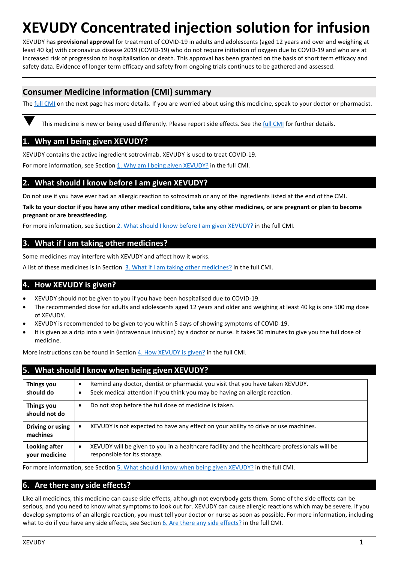# **XEVUDY Concentrated injection solution for infusion**

XEVUDY has **provisional approval** for treatment of COVID-19 in adults and adolescents (aged 12 years and over and weighing at least 40 kg) with coronavirus disease 2019 (COVID-19) who do not require initiation of oxygen due to COVID-19 and who are at increased risk of progression to hospitalisation or death. This approval has been granted on the basis of short term efficacy and safety data. Evidence of longer term efficacy and safety from ongoing trials continues to be gathered and assessed.

# **Consumer Medicine Information (CMI) summary**

Th[e full CMI](#page-1-0) on the next page has more details. If you are worried about using this medicine, speak to your doctor or pharmacist.

This medicine is new or being used differently. Please report side effects. See th[e full CMI](#page-1-0) for further details.

## **1. Why am I being given XEVUDY?**

XEVUDY contains the active ingredient sotrovimab. XEVUDY is used to treat COVID-19.

For more information, see Section 1. Why am I being given XEVUDY? in the full CMI.

## **2. What should I know before I am given XEVUDY?**

Do not use if you have ever had an allergic reaction to sotrovimab or any of the ingredients listed at the end of the CMI.

**Talk to your doctor if you have any other medical conditions, take any other medicines, or are pregnant or plan to become pregnant or are breastfeeding.** 

For more information, see Section [2. What should I know before I am given](#page-1-1) XEVUDY? in the full CMI.

## **3. What if I am taking other medicines?**

Some medicines may interfere with XEVUDY and affect how it works.

A list of these medicines is in Section [3. What if I am taking other medicines?](#page-1-2) in the full CMI.

## **4. How XEVUDY is given?**

- XEVUDY should not be given to you if you have been hospitalised due to COVID-19.
- The recommended dose for adults and adolescents aged 12 years and older and weighing at least 40 kg is one 500 mg dose of XEVUDY.
- XEVUDY is recommended to be given to you within 5 days of showing symptoms of COVID-19.
- It is given as a drip into a vein (intravenous infusion) by a doctor or nurse. It takes 30 minutes to give you the full dose of medicine.

More instructions can be found in Section [4. How XEVUDY](#page-1-3) is given? in the full CMI.

| 5. What should I know when being given XEVUDY? |                                                                                                                                                                                 |  |
|------------------------------------------------|---------------------------------------------------------------------------------------------------------------------------------------------------------------------------------|--|
| Things you<br>should do                        | Remind any doctor, dentist or pharmacist you visit that you have taken XEVUDY.<br>$\bullet$<br>Seek medical attention if you think you may be having an allergic reaction.<br>٠ |  |
| Things you<br>should not do                    | Do not stop before the full dose of medicine is taken.<br>$\bullet$                                                                                                             |  |
| Driving or using<br>machines                   | XEVUDY is not expected to have any effect on your ability to drive or use machines.<br>٠                                                                                        |  |
| Looking after<br>your medicine                 | XEVUDY will be given to you in a healthcare facility and the healthcare professionals will be<br>$\bullet$<br>responsible for its storage.                                      |  |

For more information, see Section [5. What should I know when being](#page-2-0) given XEVUDY? in the full CMI.

# **6. Are there any side effects?**

Like all medicines, this medicine can cause side effects, although not everybody gets them. Some of the side effects can be serious, and you need to know what symptoms to look out for. XEVUDY can cause allergic reactions which may be severe. If you develop symptoms of an allergic reaction, you must tell your doctor or nurse as soon as possible. For more information, including what to do if you have any side effects, see Section [6. Are there any side effects?](#page-2-1) in the full CMI.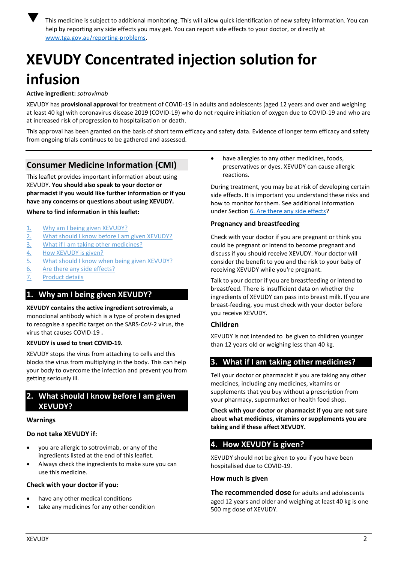

 This medicine is subject to additional monitoring. This will allow quick identification of new safety information. You can help by reporting any side effects you may get. You can report side effects to your doctor, or directly at [www.tga.gov.au/reporting-problems.](http://www.tga.gov.au/reporting-problems)

# <span id="page-1-0"></span>**XEVUDY Concentrated injection solution for infusion**

## **Active ingredient:** *sotrovimab*

XEVUDY has **provisional approval** for treatment of COVID-19 in adults and adolescents (aged 12 years and over and weighing at least 40 kg) with coronavirus disease 2019 (COVID-19) who do not require initiation of oxygen due to COVID-19 and who are at increased risk of progression to hospitalisation or death.

This approval has been granted on the basis of short term efficacy and safety data. Evidence of longer term efficacy and safety from ongoing trials continues to be gathered and assessed.

# **Consumer Medicine Information (CMI)**

This leaflet provides important information about using XEVUDY. **You should also speak to your doctor or pharmacist if you would like further information or if you have any concerns or questions about using XEVUDY.**

#### **Where to find information in this leaflet:**

- 1. [Why am I being given](#page-1-4) XEVUDY?
- 2. [What should I know before I](#page-1-1) am given XEVUDY?
- 3. [What if I am taking other medicines?](#page-1-2)
- 4. [How XEVUDY](#page-1-3) is given?
- 5. [What should I know when being given](#page-2-0) XEVUDY?
- 6. [Are there any side effects?](#page-2-1)
- 7. [Product details](#page-2-2)

# <span id="page-1-4"></span>**1. Why am I being given XEVUDY?**

**XEVUDY contains the active ingredient sotrovimab,** a monoclonal antibody which is a type of protein designed to recognise a specific target on the SARS-CoV-2 virus, the virus that causes COVID-19 **.**

## **XEVUDY is used to treat COVID-19.**

XEVUDY stops the virus from attaching to cells and this blocks the virus from multiplying in the body. This can help your body to overcome the infection and prevent you from getting seriously ill.

# <span id="page-1-1"></span>**2. What should I know before I am given XEVUDY?**

#### **Warnings**

## **Do not take XEVUDY if:**

- you are allergic to sotrovimab, or any of the ingredients listed at the end of this leaflet.
- Always check the ingredients to make sure you can use this medicine.

## **Check with your doctor if you:**

- have any other medical conditions
- take any medicines for any other condition

• have allergies to any other medicines, foods, preservatives or dyes. XEVUDY can cause allergic reactions.

During treatment, you may be at risk of developing certain side effects. It is important you understand these risks and how to monitor for them. See additional information under Section [6. Are there any side effects?](#page-2-1)

## **Pregnancy and breastfeeding**

Check with your doctor if you are pregnant or think you could be pregnant or intend to become pregnant and discuss if you should receive XEVUDY. Your doctor will consider the benefit to you and the risk to your baby of receiving XEVUDY while you're pregnant.

Talk to your doctor if you are breastfeeding or intend to breastfeed. There is insufficient data on whether the ingredients of XEVUDY can pass into breast milk. If you are breast-feeding, you must check with your doctor before you receive XEVUDY.

## **Children**

XEVUDY is not intended to be given to children younger than 12 years old or weighing less than 40 kg.

# <span id="page-1-2"></span>**3. What if I am taking other medicines?**

Tell your doctor or pharmacist if you are taking any other medicines, including any medicines, vitamins or supplements that you buy without a prescription from your pharmacy, supermarket or health food shop.

**Check with your doctor or pharmacist if you are not sure about what medicines, vitamins or supplements you are taking and if these affect XEVUDY.**

# <span id="page-1-3"></span>**4. How XEVUDY is given?**

XEVUDY should not be given to you if you have been hospitalised due to COVID-19.

#### **How much is given**

**The recommended dose** for adults and adolescents aged 12 years and older and weighing at least 40 kg is one 500 mg dose of XEVUDY.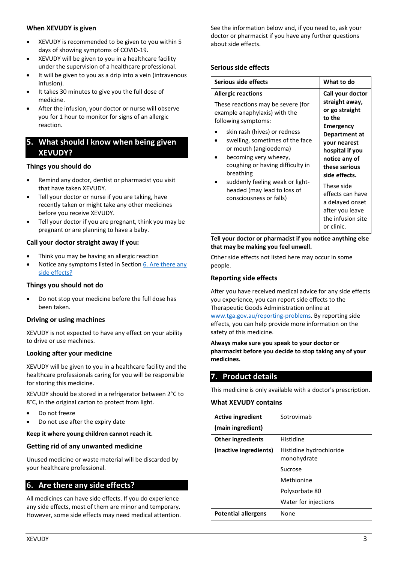## **When XEVUDY is given**

- XEVUDY is recommended to be given to you within 5 days of showing symptoms of COVID-19.
- XEVUDY will be given to you in a healthcare facility under the supervision of a healthcare professional.
- It will be given to you as a drip into a vein (intravenous infusion).
- It takes 30 minutes to give you the full dose of medicine.
- After the infusion, your doctor or nurse will observe you for 1 hour to monitor for signs of an allergic reaction.

# <span id="page-2-0"></span>**5. What should I know when being given XEVUDY?**

# **Things you should do**

- Remind any doctor, dentist or pharmacist you visit that have taken XEVUDY.
- Tell your doctor or nurse if you are taking, have recently taken or might take any other medicines before you receive XEVUDY.
- Tell your doctor if you are pregnant, think you may be pregnant or are planning to have a baby.

# **Call your doctor straight away if you:**

- Think you may be having an allergic reaction
- Notice any symptoms listed in Section 6. Are there any [side effects?](#page-2-1)

# **Things you should not do**

• Do not stop your medicine before the full dose has been taken.

# **Driving or using machines**

XEVUDY is not expected to have any effect on your ability to drive or use machines.

# **Looking after your medicine**

XEVUDY will be given to you in a healthcare facility and the healthcare professionals caring for you will be responsible for storing this medicine.

XEVUDY should be stored in a refrigerator between 2°C to 8°C, in the original carton to protect from light.

- Do not freeze
- Do not use after the expiry date

# **Keep it where young children cannot reach it.**

# **Getting rid of any unwanted medicine**

Unused medicine or waste material will be discarded by your healthcare professional.

# <span id="page-2-1"></span>**6. Are there any side effects?**

All medicines can have side effects. If you do experience any side effects, most of them are minor and temporary. However, some side effects may need medical attention. See the information below and, if you need to, ask your doctor or pharmacist if you have any further questions about side effects.

## **Serious side effects**

| Serious side effects                                                                                                                                                                                                                                                                                                                                                                       | What to do                                                                                                                                                                                                                                                                                           |
|--------------------------------------------------------------------------------------------------------------------------------------------------------------------------------------------------------------------------------------------------------------------------------------------------------------------------------------------------------------------------------------------|------------------------------------------------------------------------------------------------------------------------------------------------------------------------------------------------------------------------------------------------------------------------------------------------------|
| <b>Allergic reactions</b><br>These reactions may be severe (for<br>example anaphylaxis) with the<br>following symptoms:<br>skin rash (hives) or redness<br>swelling, sometimes of the face<br>or mouth (angioedema)<br>becoming very wheezy,<br>coughing or having difficulty in<br>breathing<br>suddenly feeling weak or light-<br>headed (may lead to loss of<br>consciousness or falls) | Call your doctor<br>straight away,<br>or go straight<br>to the<br><b>Emergency</b><br>Department at<br>your nearest<br>hospital if you<br>notice any of<br>these serious<br>side effects.<br>These side<br>effects can have<br>a delayed onset<br>after you leave<br>the infusion site<br>or clinic. |

## **Tell your doctor or pharmacist if you notice anything else that may be making you feel unwell.**

Other side effects not listed here may occur in some people.

## **Reporting side effects**

After you have received medical advice for any side effects you experience, you can report side effects to the Therapeutic Goods Administration online at

[www.tga.gov.au/reporting-problems.](http://www.tga.gov.au/reporting-problems) By reporting side effects, you can help provide more information on the safety of this medicine.

**Always make sure you speak to your doctor or pharmacist before you decide to stop taking any of your medicines.**

# <span id="page-2-2"></span>**7. Product details**

This medicine is only available with a doctor's prescription.

## **What XEVUDY contains**

| <b>Active ingredient</b>   | Sotrovimab                             |
|----------------------------|----------------------------------------|
| (main ingredient)          |                                        |
| <b>Other ingredients</b>   | Histidine                              |
| (inactive ingredients)     | Histidine hydrochloride<br>monohydrate |
|                            | Sucrose                                |
|                            | Methionine                             |
|                            | Polysorbate 80                         |
|                            | Water for injections                   |
| <b>Potential allergens</b> | None                                   |